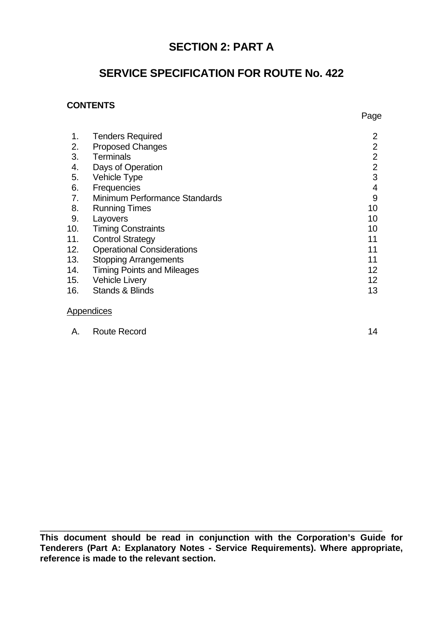# **SECTION 2: PART A**

# **SERVICE SPECIFICATION FOR ROUTE No. 422**

## **CONTENTS**

| 1.  | <b>Tenders Required</b>           | $\overline{2}$  |
|-----|-----------------------------------|-----------------|
| 2.  | <b>Proposed Changes</b>           | $\overline{2}$  |
| 3.  | <b>Terminals</b>                  | $\overline{2}$  |
| 4.  | Days of Operation                 | $\overline{2}$  |
| 5.  | Vehicle Type                      | 3               |
| 6.  | Frequencies                       | 4               |
| 7.  | Minimum Performance Standards     | 9               |
| 8.  | <b>Running Times</b>              | 10              |
| 9.  | Layovers                          | 10              |
| 10. | <b>Timing Constraints</b>         | 10              |
| 11. | <b>Control Strategy</b>           | 11              |
| 12. | <b>Operational Considerations</b> | 11              |
| 13. | <b>Stopping Arrangements</b>      | 11              |
| 14. | <b>Timing Points and Mileages</b> | 12 <sup>2</sup> |
| 15. | <b>Vehicle Livery</b>             | 12 <sub>2</sub> |
| 16. | <b>Stands &amp; Blinds</b>        | 13              |
|     |                                   |                 |

#### **Appendices**

| <b>Route Record</b> |  |
|---------------------|--|
|                     |  |
|                     |  |

**This document should be read in conjunction with the Corporation's Guide for Tenderers (Part A: Explanatory Notes - Service Requirements). Where appropriate, reference is made to the relevant section.**

 $\_$  , and the contribution of the contribution of  $\overline{a}$  ,  $\overline{b}$  ,  $\overline{c}$  ,  $\overline{c}$  ,  $\overline{c}$  ,  $\overline{c}$  ,  $\overline{c}$  ,  $\overline{c}$  ,  $\overline{c}$  ,  $\overline{c}$  ,  $\overline{c}$  ,  $\overline{c}$  ,  $\overline{c}$  ,  $\overline{c}$  ,  $\overline{c}$  ,  $\overline{c$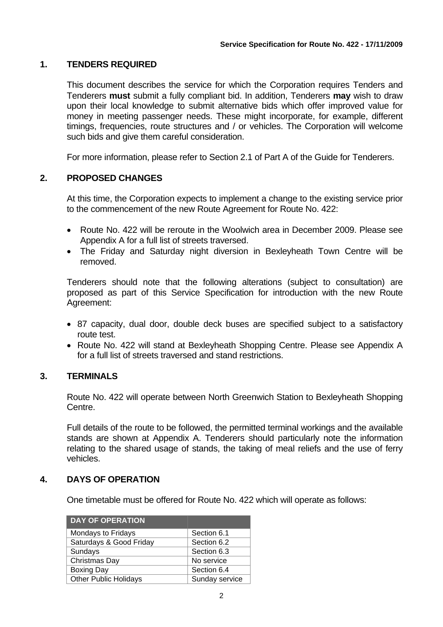## **1. TENDERS REQUIRED**

This document describes the service for which the Corporation requires Tenders and Tenderers **must** submit a fully compliant bid. In addition, Tenderers **may** wish to draw upon their local knowledge to submit alternative bids which offer improved value for money in meeting passenger needs. These might incorporate, for example, different timings, frequencies, route structures and / or vehicles. The Corporation will welcome such bids and give them careful consideration.

For more information, please refer to Section 2.1 of Part A of the Guide for Tenderers.

### **2. PROPOSED CHANGES**

At this time, the Corporation expects to implement a change to the existing service prior to the commencement of the new Route Agreement for Route No. 422:

- Route No. 422 will be reroute in the Woolwich area in December 2009. Please see Appendix A for a full list of streets traversed.
- The Friday and Saturday night diversion in Bexleyheath Town Centre will be removed.

Tenderers should note that the following alterations (subject to consultation) are proposed as part of this Service Specification for introduction with the new Route Agreement:

- 87 capacity, dual door, double deck buses are specified subject to a satisfactory route test.
- Route No. 422 will stand at Bexleyheath Shopping Centre. Please see Appendix A for a full list of streets traversed and stand restrictions.

#### **3. TERMINALS**

Route No. 422 will operate between North Greenwich Station to Bexleyheath Shopping Centre.

Full details of the route to be followed, the permitted terminal workings and the available stands are shown at Appendix A. Tenderers should particularly note the information relating to the shared usage of stands, the taking of meal reliefs and the use of ferry vehicles.

#### **4. DAYS OF OPERATION**

One timetable must be offered for Route No. 422 which will operate as follows:

| <b>DAY OF OPERATION</b>      |                |
|------------------------------|----------------|
| Mondays to Fridays           | Section 6.1    |
| Saturdays & Good Friday      | Section 6.2    |
| Sundays                      | Section 6.3    |
| Christmas Day                | No service     |
| <b>Boxing Day</b>            | Section 6.4    |
| <b>Other Public Holidays</b> | Sunday service |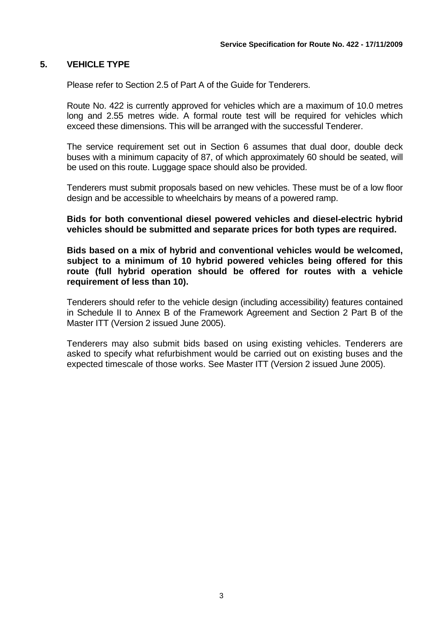#### **5. VEHICLE TYPE**

Please refer to Section 2.5 of Part A of the Guide for Tenderers.

Route No. 422 is currently approved for vehicles which are a maximum of 10.0 metres long and 2.55 metres wide. A formal route test will be required for vehicles which exceed these dimensions. This will be arranged with the successful Tenderer.

The service requirement set out in Section 6 assumes that dual door, double deck buses with a minimum capacity of 87, of which approximately 60 should be seated, will be used on this route. Luggage space should also be provided.

Tenderers must submit proposals based on new vehicles. These must be of a low floor design and be accessible to wheelchairs by means of a powered ramp.

**Bids for both conventional diesel powered vehicles and diesel-electric hybrid vehicles should be submitted and separate prices for both types are required.** 

**Bids based on a mix of hybrid and conventional vehicles would be welcomed, subject to a minimum of 10 hybrid powered vehicles being offered for this route (full hybrid operation should be offered for routes with a vehicle requirement of less than 10).** 

Tenderers should refer to the vehicle design (including accessibility) features contained in Schedule II to Annex B of the Framework Agreement and Section 2 Part B of the Master ITT (Version 2 issued June 2005).

 Tenderers may also submit bids based on using existing vehicles. Tenderers are asked to specify what refurbishment would be carried out on existing buses and the expected timescale of those works. See Master ITT (Version 2 issued June 2005).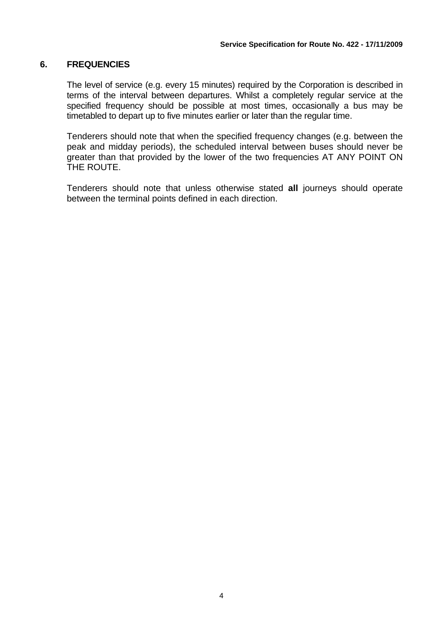#### **6. FREQUENCIES**

The level of service (e.g. every 15 minutes) required by the Corporation is described in terms of the interval between departures. Whilst a completely regular service at the specified frequency should be possible at most times, occasionally a bus may be timetabled to depart up to five minutes earlier or later than the regular time.

Tenderers should note that when the specified frequency changes (e.g. between the peak and midday periods), the scheduled interval between buses should never be greater than that provided by the lower of the two frequencies AT ANY POINT ON THE ROUTE.

Tenderers should note that unless otherwise stated **all** journeys should operate between the terminal points defined in each direction.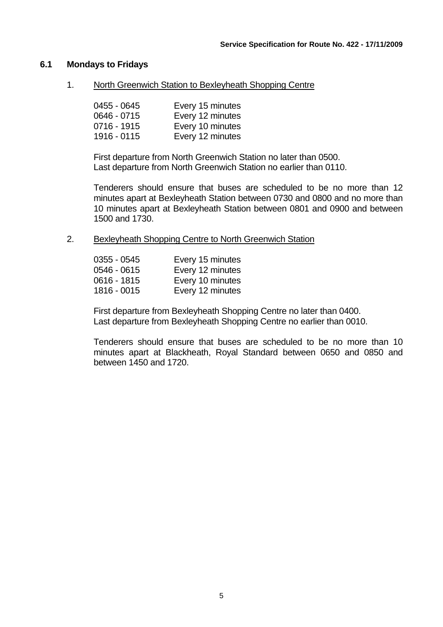#### **6.1 Mondays to Fridays**

1. North Greenwich Station to Bexleyheath Shopping Centre

| 0455 - 0645   | Every 15 minutes |
|---------------|------------------|
| $0646 - 0715$ | Every 12 minutes |
| $0716 - 1915$ | Every 10 minutes |
| 1916 - 0115   | Every 12 minutes |

First departure from North Greenwich Station no later than 0500. Last departure from North Greenwich Station no earlier than 0110.

Tenderers should ensure that buses are scheduled to be no more than 12 minutes apart at Bexleyheath Station between 0730 and 0800 and no more than 10 minutes apart at Bexleyheath Station between 0801 and 0900 and between 1500 and 1730.

2. Bexleyheath Shopping Centre to North Greenwich Station

| $0355 - 0545$ | Every 15 minutes |
|---------------|------------------|
| $0546 - 0615$ | Every 12 minutes |
| $0616 - 1815$ | Every 10 minutes |
| 1816 - 0015   | Every 12 minutes |

First departure from Bexleyheath Shopping Centre no later than 0400. Last departure from Bexleyheath Shopping Centre no earlier than 0010.

Tenderers should ensure that buses are scheduled to be no more than 10 minutes apart at Blackheath, Royal Standard between 0650 and 0850 and between 1450 and 1720.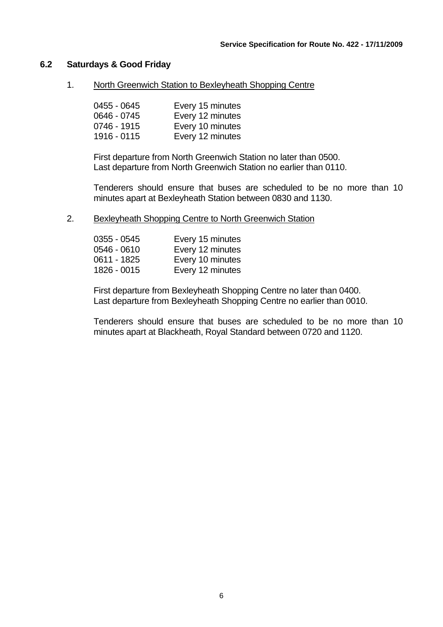#### **6.2 Saturdays & Good Friday**

1. North Greenwich Station to Bexleyheath Shopping Centre

| 0455 - 0645 | Every 15 minutes |
|-------------|------------------|
| 0646 - 0745 | Every 12 minutes |
| 0746 - 1915 | Every 10 minutes |
| 1916 - 0115 | Every 12 minutes |

First departure from North Greenwich Station no later than 0500. Last departure from North Greenwich Station no earlier than 0110.

Tenderers should ensure that buses are scheduled to be no more than 10 minutes apart at Bexleyheath Station between 0830 and 1130.

2. Bexleyheath Shopping Centre to North Greenwich Station

| $0355 - 0545$ | Every 15 minutes |
|---------------|------------------|
| 0546 - 0610   | Every 12 minutes |
| $0611 - 1825$ | Every 10 minutes |
| 1826 - 0015   | Every 12 minutes |

First departure from Bexleyheath Shopping Centre no later than 0400. Last departure from Bexleyheath Shopping Centre no earlier than 0010.

Tenderers should ensure that buses are scheduled to be no more than 10 minutes apart at Blackheath, Royal Standard between 0720 and 1120.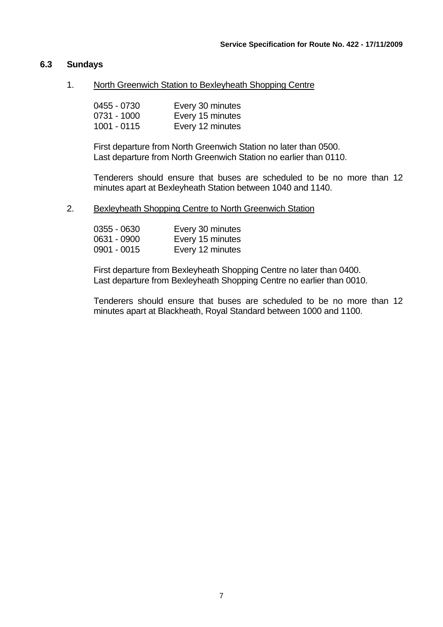#### **6.3 Sundays**

1. North Greenwich Station to Bexleyheath Shopping Centre

| 0455 - 0730   | Every 30 minutes |
|---------------|------------------|
| 0731 - 1000   | Every 15 minutes |
| $1001 - 0115$ | Every 12 minutes |

First departure from North Greenwich Station no later than 0500. Last departure from North Greenwich Station no earlier than 0110.

Tenderers should ensure that buses are scheduled to be no more than 12 minutes apart at Bexleyheath Station between 1040 and 1140.

2. Bexleyheath Shopping Centre to North Greenwich Station

| $0355 - 0630$ | Every 30 minutes |
|---------------|------------------|
| 0631 - 0900   | Every 15 minutes |
| 0901 - 0015   | Every 12 minutes |

First departure from Bexleyheath Shopping Centre no later than 0400. Last departure from Bexleyheath Shopping Centre no earlier than 0010.

Tenderers should ensure that buses are scheduled to be no more than 12 minutes apart at Blackheath, Royal Standard between 1000 and 1100.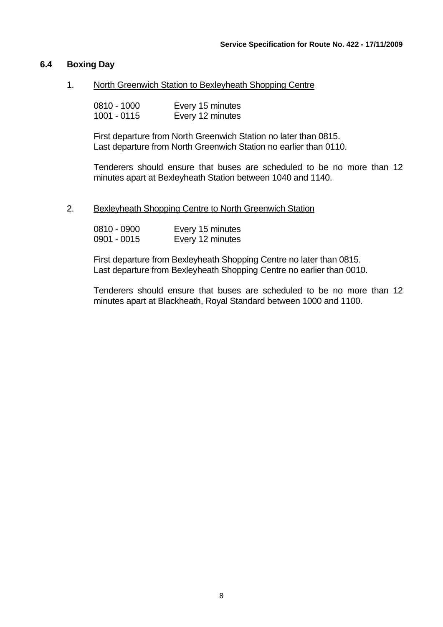#### **6.4 Boxing Day**

1. North Greenwich Station to Bexleyheath Shopping Centre

| 0810 - 1000 | Every 15 minutes |
|-------------|------------------|
| 1001 - 0115 | Every 12 minutes |

First departure from North Greenwich Station no later than 0815. Last departure from North Greenwich Station no earlier than 0110.

Tenderers should ensure that buses are scheduled to be no more than 12 minutes apart at Bexleyheath Station between 1040 and 1140.

#### 2. Bexleyheath Shopping Centre to North Greenwich Station

| 0810 - 0900   | Every 15 minutes |
|---------------|------------------|
| $0901 - 0015$ | Every 12 minutes |

First departure from Bexleyheath Shopping Centre no later than 0815. Last departure from Bexleyheath Shopping Centre no earlier than 0010.

Tenderers should ensure that buses are scheduled to be no more than 12 minutes apart at Blackheath, Royal Standard between 1000 and 1100.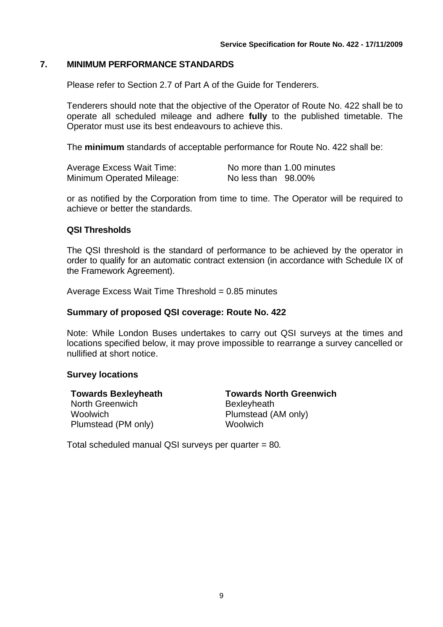#### **7. MINIMUM PERFORMANCE STANDARDS**

Please refer to Section 2.7 of Part A of the Guide for Tenderers.

Tenderers should note that the objective of the Operator of Route No. 422 shall be to operate all scheduled mileage and adhere **fully** to the published timetable. The Operator must use its best endeavours to achieve this.

The **minimum** standards of acceptable performance for Route No. 422 shall be:

| Average Excess Wait Time: | No more than 1.00 minutes |
|---------------------------|---------------------------|
| Minimum Operated Mileage: | No less than 98.00%       |

or as notified by the Corporation from time to time. The Operator will be required to achieve or better the standards.

#### **QSI Thresholds**

The QSI threshold is the standard of performance to be achieved by the operator in order to qualify for an automatic contract extension (in accordance with Schedule IX of the Framework Agreement).

Average Excess Wait Time Threshold  $= 0.85$  minutes

#### **Summary of proposed QSI coverage: Route No. 422**

Note: While London Buses undertakes to carry out QSI surveys at the times and locations specified below, it may prove impossible to rearrange a survey cancelled or nullified at short notice.

#### **Survey locations**

North Greenwich **Bexleyheath** Woolwich Plumstead (AM only) Plumstead (PM only) Woolwich

**Towards Bexleyheath Towards North Greenwich** 

Total scheduled manual QSI surveys per quarter = 80*.*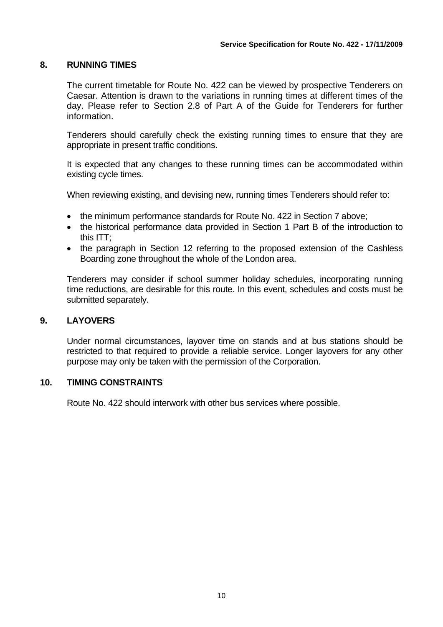#### **8. RUNNING TIMES**

The current timetable for Route No. 422 can be viewed by prospective Tenderers on Caesar. Attention is drawn to the variations in running times at different times of the day. Please refer to Section 2.8 of Part A of the Guide for Tenderers for further information.

Tenderers should carefully check the existing running times to ensure that they are appropriate in present traffic conditions.

It is expected that any changes to these running times can be accommodated within existing cycle times.

When reviewing existing, and devising new, running times Tenderers should refer to:

- the minimum performance standards for Route No. 422 in Section 7 above;
- the historical performance data provided in Section 1 Part B of the introduction to this ITT;
- the paragraph in Section 12 referring to the proposed extension of the Cashless Boarding zone throughout the whole of the London area.

Tenderers may consider if school summer holiday schedules, incorporating running time reductions, are desirable for this route. In this event, schedules and costs must be submitted separately.

#### **9. LAYOVERS**

Under normal circumstances, layover time on stands and at bus stations should be restricted to that required to provide a reliable service. Longer layovers for any other purpose may only be taken with the permission of the Corporation.

#### **10. TIMING CONSTRAINTS**

Route No. 422 should interwork with other bus services where possible.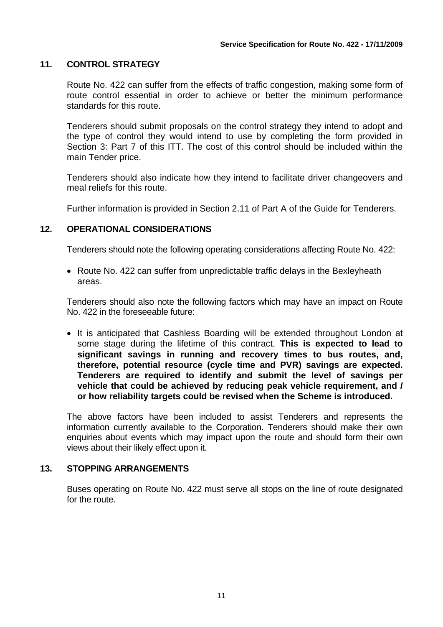## **11. CONTROL STRATEGY**

Route No. 422 can suffer from the effects of traffic congestion, making some form of route control essential in order to achieve or better the minimum performance standards for this route.

Tenderers should submit proposals on the control strategy they intend to adopt and the type of control they would intend to use by completing the form provided in Section 3: Part 7 of this ITT. The cost of this control should be included within the main Tender price.

Tenderers should also indicate how they intend to facilitate driver changeovers and meal reliefs for this route.

Further information is provided in Section 2.11 of Part A of the Guide for Tenderers.

#### **12. OPERATIONAL CONSIDERATIONS**

Tenderers should note the following operating considerations affecting Route No. 422:

• Route No. 422 can suffer from unpredictable traffic delays in the Bexleyheath areas.

Tenderers should also note the following factors which may have an impact on Route No. 422 in the foreseeable future:

• It is anticipated that Cashless Boarding will be extended throughout London at some stage during the lifetime of this contract. **This is expected to lead to significant savings in running and recovery times to bus routes, and, therefore, potential resource (cycle time and PVR) savings are expected. Tenderers are required to identify and submit the level of savings per vehicle that could be achieved by reducing peak vehicle requirement, and / or how reliability targets could be revised when the Scheme is introduced.**

The above factors have been included to assist Tenderers and represents the information currently available to the Corporation. Tenderers should make their own enquiries about events which may impact upon the route and should form their own views about their likely effect upon it.

#### **13. STOPPING ARRANGEMENTS**

Buses operating on Route No. 422 must serve all stops on the line of route designated for the route.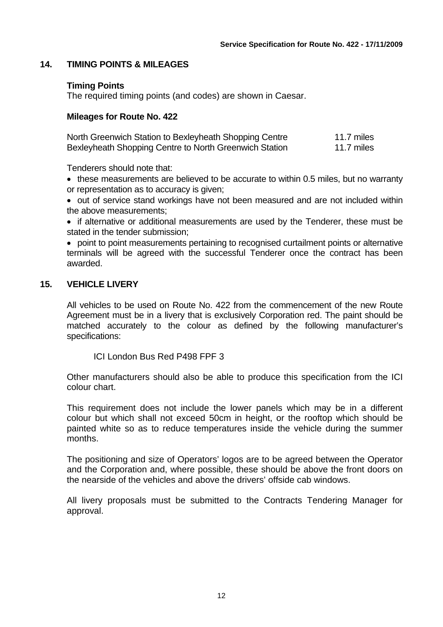#### **14. TIMING POINTS & MILEAGES**

#### **Timing Points**

The required timing points (and codes) are shown in Caesar.

#### **Mileages for Route No. 422**

| North Greenwich Station to Bexleyheath Shopping Centre | 11.7 miles |
|--------------------------------------------------------|------------|
| Bexleyheath Shopping Centre to North Greenwich Station | 11.7 miles |

Tenderers should note that:

• these measurements are believed to be accurate to within 0.5 miles, but no warranty or representation as to accuracy is given;

• out of service stand workings have not been measured and are not included within the above measurements;

• if alternative or additional measurements are used by the Tenderer, these must be stated in the tender submission;

• point to point measurements pertaining to recognised curtailment points or alternative terminals will be agreed with the successful Tenderer once the contract has been awarded.

### **15. VEHICLE LIVERY**

All vehicles to be used on Route No. 422 from the commencement of the new Route Agreement must be in a livery that is exclusively Corporation red. The paint should be matched accurately to the colour as defined by the following manufacturer's specifications:

ICI London Bus Red P498 FPF 3

Other manufacturers should also be able to produce this specification from the ICI colour chart.

This requirement does not include the lower panels which may be in a different colour but which shall not exceed 50cm in height, or the rooftop which should be painted white so as to reduce temperatures inside the vehicle during the summer months.

The positioning and size of Operators' logos are to be agreed between the Operator and the Corporation and, where possible, these should be above the front doors on the nearside of the vehicles and above the drivers' offside cab windows.

All livery proposals must be submitted to the Contracts Tendering Manager for approval.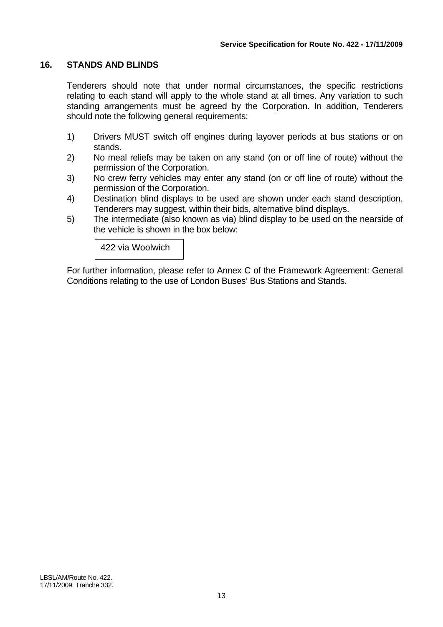#### **16. STANDS AND BLINDS**

Tenderers should note that under normal circumstances, the specific restrictions relating to each stand will apply to the whole stand at all times. Any variation to such standing arrangements must be agreed by the Corporation. In addition, Tenderers should note the following general requirements:

- 1) Drivers MUST switch off engines during layover periods at bus stations or on stands.
- 2) No meal reliefs may be taken on any stand (on or off line of route) without the permission of the Corporation.
- 3) No crew ferry vehicles may enter any stand (on or off line of route) without the permission of the Corporation.
- 4) Destination blind displays to be used are shown under each stand description. Tenderers may suggest, within their bids, alternative blind displays.
- 5) The intermediate (also known as via) blind display to be used on the nearside of the vehicle is shown in the box below:

422 via Woolwich

For further information, please refer to Annex C of the Framework Agreement: General Conditions relating to the use of London Buses' Bus Stations and Stands.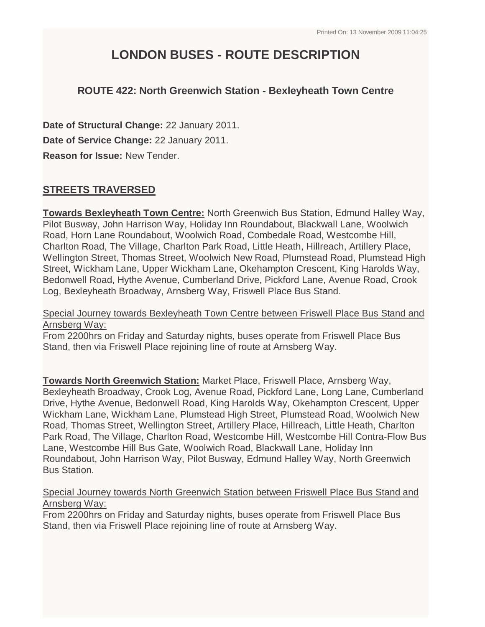# **LONDON BUSES - ROUTE DESCRIPTION**

# **ROUTE 422: North Greenwich Station - Bexleyheath Town Centre**

**Date of Structural Change:** 22 January 2011. **Date of Service Change:** 22 January 2011. **Reason for Issue:** New Tender.

# **STREETS TRAVERSED**

**Towards Bexleyheath Town Centre:** North Greenwich Bus Station, Edmund Halley Way, Pilot Busway, John Harrison Way, Holiday Inn Roundabout, Blackwall Lane, Woolwich Road, Horn Lane Roundabout, Woolwich Road, Combedale Road, Westcombe Hill, Charlton Road, The Village, Charlton Park Road, Little Heath, Hillreach, Artillery Place, Wellington Street, Thomas Street, Woolwich New Road, Plumstead Road, Plumstead High Street, Wickham Lane, Upper Wickham Lane, Okehampton Crescent, King Harolds Way, Bedonwell Road, Hythe Avenue, Cumberland Drive, Pickford Lane, Avenue Road, Crook Log, Bexleyheath Broadway, Arnsberg Way, Friswell Place Bus Stand.

Special Journey towards Bexleyheath Town Centre between Friswell Place Bus Stand and Arnsberg Way:

From 2200hrs on Friday and Saturday nights, buses operate from Friswell Place Bus Stand, then via Friswell Place rejoining line of route at Arnsberg Way.

**Towards North Greenwich Station:** Market Place, Friswell Place, Arnsberg Way, Bexleyheath Broadway, Crook Log, Avenue Road, Pickford Lane, Long Lane, Cumberland Drive, Hythe Avenue, Bedonwell Road, King Harolds Way, Okehampton Crescent, Upper Wickham Lane, Wickham Lane, Plumstead High Street, Plumstead Road, Woolwich New Road, Thomas Street, Wellington Street, Artillery Place, Hillreach, Little Heath, Charlton Park Road, The Village, Charlton Road, Westcombe Hill, Westcombe Hill Contra-Flow Bus Lane, Westcombe Hill Bus Gate, Woolwich Road, Blackwall Lane, Holiday Inn Roundabout, John Harrison Way, Pilot Busway, Edmund Halley Way, North Greenwich Bus Station.

#### Special Journey towards North Greenwich Station between Friswell Place Bus Stand and Arnsberg Way:

From 2200hrs on Friday and Saturday nights, buses operate from Friswell Place Bus Stand, then via Friswell Place rejoining line of route at Arnsberg Way.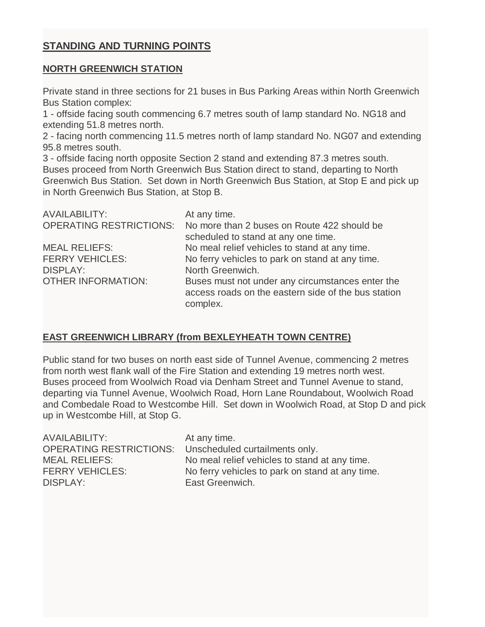# **STANDING AND TURNING POINTS**

#### **NORTH GREENWICH STATION**

Private stand in three sections for 21 buses in Bus Parking Areas within North Greenwich Bus Station complex:

1 - offside facing south commencing 6.7 metres south of lamp standard No. NG18 and extending 51.8 metres north.

2 - facing north commencing 11.5 metres north of lamp standard No. NG07 and extending 95.8 metres south.

3 - offside facing north opposite Section 2 stand and extending 87.3 metres south. Buses proceed from North Greenwich Bus Station direct to stand, departing to North Greenwich Bus Station. Set down in North Greenwich Bus Station, at Stop E and pick up in North Greenwich Bus Station, at Stop B.

| <b>AVAILABILITY:</b>           | At any time.                                                                                                        |
|--------------------------------|---------------------------------------------------------------------------------------------------------------------|
| <b>OPERATING RESTRICTIONS:</b> | No more than 2 buses on Route 422 should be<br>scheduled to stand at any one time.                                  |
| <b>MEAL RELIEFS:</b>           | No meal relief vehicles to stand at any time.                                                                       |
| <b>FERRY VEHICLES:</b>         | No ferry vehicles to park on stand at any time.                                                                     |
| <b>DISPLAY:</b>                | North Greenwich.                                                                                                    |
| <b>OTHER INFORMATION:</b>      | Buses must not under any circumstances enter the<br>access roads on the eastern side of the bus station<br>complex. |

## **EAST GREENWICH LIBRARY (from BEXLEYHEATH TOWN CENTRE)**

Public stand for two buses on north east side of Tunnel Avenue, commencing 2 metres from north west flank wall of the Fire Station and extending 19 metres north west. Buses proceed from Woolwich Road via Denham Street and Tunnel Avenue to stand, departing via Tunnel Avenue, Woolwich Road, Horn Lane Roundabout, Woolwich Road and Combedale Road to Westcombe Hill. Set down in Woolwich Road, at Stop D and pick up in Westcombe Hill, at Stop G.

| <b>MEAL RELIEFS:</b><br>No meal relief vehicles to stand at any time.<br><b>FERRY VEHICLES:</b><br>No ferry vehicles to park on stand at any time.<br>DISPLAY:<br>East Greenwich. | AVAILABILITY: | At any time.<br>OPERATING RESTRICTIONS: Unscheduled curtailments only. |
|-----------------------------------------------------------------------------------------------------------------------------------------------------------------------------------|---------------|------------------------------------------------------------------------|
|-----------------------------------------------------------------------------------------------------------------------------------------------------------------------------------|---------------|------------------------------------------------------------------------|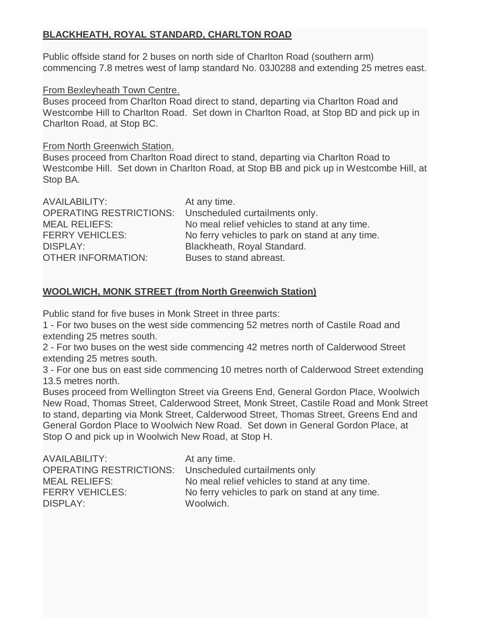# **BLACKHEATH, ROYAL STANDARD, CHARLTON ROAD**

Public offside stand for 2 buses on north side of Charlton Road (southern arm) commencing 7.8 metres west of lamp standard No. 03J0288 and extending 25 metres east.

## From Bexleyheath Town Centre.

Buses proceed from Charlton Road direct to stand, departing via Charlton Road and Westcombe Hill to Charlton Road. Set down in Charlton Road, at Stop BD and pick up in Charlton Road, at Stop BC.

From North Greenwich Station.

Buses proceed from Charlton Road direct to stand, departing via Charlton Road to Westcombe Hill. Set down in Charlton Road, at Stop BB and pick up in Westcombe Hill, at Stop BA.

| <b>AVAILABILITY:</b>      | At any time.                                           |
|---------------------------|--------------------------------------------------------|
|                           | OPERATING RESTRICTIONS: Unscheduled curtailments only. |
| <b>MEAL RELIEFS:</b>      | No meal relief vehicles to stand at any time.          |
| <b>FERRY VEHICLES:</b>    | No ferry vehicles to park on stand at any time.        |
| <b>DISPLAY:</b>           | Blackheath, Royal Standard.                            |
| <b>OTHER INFORMATION:</b> | Buses to stand abreast.                                |

## **WOOLWICH, MONK STREET (from North Greenwich Station)**

Public stand for five buses in Monk Street in three parts:

1 - For two buses on the west side commencing 52 metres north of Castile Road and extending 25 metres south.

2 - For two buses on the west side commencing 42 metres north of Calderwood Street extending 25 metres south.

3 - For one bus on east side commencing 10 metres north of Calderwood Street extending 13.5 metres north.

Buses proceed from Wellington Street via Greens End, General Gordon Place, Woolwich New Road, Thomas Street, Calderwood Street, Monk Street, Castile Road and Monk Street to stand, departing via Monk Street, Calderwood Street, Thomas Street, Greens End and General Gordon Place to Woolwich New Road. Set down in General Gordon Place, at Stop O and pick up in Woolwich New Road, at Stop H.

| At any time.                                             |
|----------------------------------------------------------|
| OPERATING RESTRICTIONS:<br>Unscheduled curtailments only |
| No meal relief vehicles to stand at any time.            |
| No ferry vehicles to park on stand at any time.          |
| Woolwich.                                                |
|                                                          |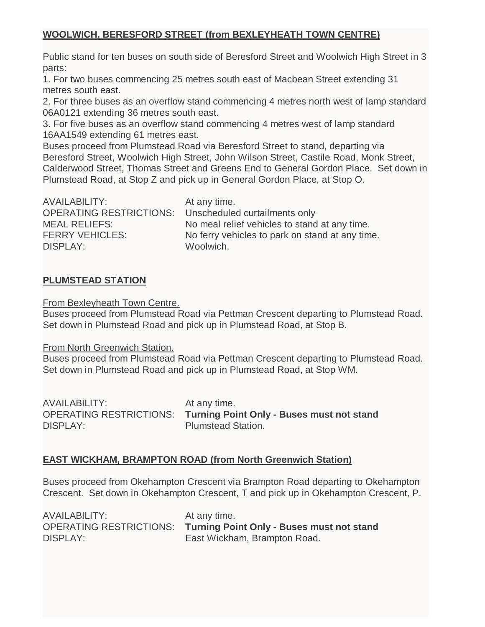# **WOOLWICH, BERESFORD STREET (from BEXLEYHEATH TOWN CENTRE)**

Public stand for ten buses on south side of Beresford Street and Woolwich High Street in 3 parts:

1. For two buses commencing 25 metres south east of Macbean Street extending 31 metres south east.

2. For three buses as an overflow stand commencing 4 metres north west of lamp standard 06A0121 extending 36 metres south east.

3. For five buses as an overflow stand commencing 4 metres west of lamp standard 16AA1549 extending 61 metres east.

Buses proceed from Plumstead Road via Beresford Street to stand, departing via Beresford Street, Woolwich High Street, John Wilson Street, Castile Road, Monk Street, Calderwood Street, Thomas Street and Greens End to General Gordon Place. Set down in Plumstead Road, at Stop Z and pick up in General Gordon Place, at Stop O.

| AVAILABILITY:                 |
|-------------------------------|
| <b>OPERATING RESTRICTIONS</b> |
| MEAL RELIEFS:                 |
| <b>FERRY VEHICLES:</b>        |
| DISPI AY <sup>.</sup>         |

At any time. Unscheduled curtailments only No meal relief vehicles to stand at any time. No ferry vehicles to park on stand at any time. Woolwich.

### **PLUMSTEAD STATION**

From Bexleyheath Town Centre.

Buses proceed from Plumstead Road via Pettman Crescent departing to Plumstead Road. Set down in Plumstead Road and pick up in Plumstead Road, at Stop B.

From North Greenwich Station.

Buses proceed from Plumstead Road via Pettman Crescent departing to Plumstead Road. Set down in Plumstead Road and pick up in Plumstead Road, at Stop WM.

| AVAILABILITY:   | At any time.                                                      |
|-----------------|-------------------------------------------------------------------|
|                 | OPERATING RESTRICTIONS: Turning Point Only - Buses must not stand |
| <b>DISPLAY:</b> | <b>Plumstead Station.</b>                                         |

## **EAST WICKHAM, BRAMPTON ROAD (from North Greenwich Station)**

Buses proceed from Okehampton Crescent via Brampton Road departing to Okehampton Crescent. Set down in Okehampton Crescent, T and pick up in Okehampton Crescent, P.

| AVAILABILITY: | At any time.                                                      |
|---------------|-------------------------------------------------------------------|
|               | OPERATING RESTRICTIONS: Turning Point Only - Buses must not stand |
| DISPLAY:      | East Wickham, Brampton Road.                                      |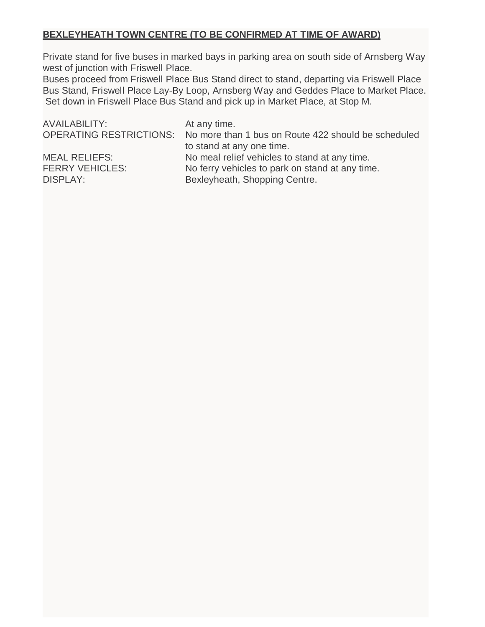## **BEXLEYHEATH TOWN CENTRE (TO BE CONFIRMED AT TIME OF AWARD)**

Private stand for five buses in marked bays in parking area on south side of Arnsberg Way west of junction with Friswell Place.

Buses proceed from Friswell Place Bus Stand direct to stand, departing via Friswell Place Bus Stand, Friswell Place Lay-By Loop, Arnsberg Way and Geddes Place to Market Place. Set down in Friswell Place Bus Stand and pick up in Market Place, at Stop M.

| At any time.                                                                |
|-----------------------------------------------------------------------------|
| OPERATING RESTRICTIONS: No more than 1 bus on Route 422 should be scheduled |
| to stand at any one time.                                                   |
| No meal relief vehicles to stand at any time.                               |
| No ferry vehicles to park on stand at any time.                             |
| Bexleyheath, Shopping Centre.                                               |
|                                                                             |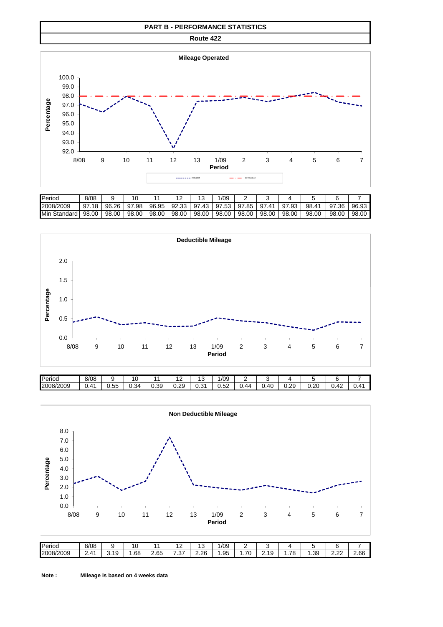#### **PART B - PERFORMANCE STATISTICS**

**Route 422**



| <b>I</b> Period        | 8/08      |       |           |           |           |            | /09       | -         |                             |            |                    |           |       |
|------------------------|-----------|-------|-----------|-----------|-----------|------------|-----------|-----------|-----------------------------|------------|--------------------|-----------|-------|
| 2008/2009              | 97<br>.18 | 96.26 | 97<br>.98 | .95<br>96 | .33<br>92 | -97<br>.43 | .53<br>97 | 97<br>.85 | 97<br>$\mathbf{A}^{\prime}$ | .93<br>-97 | 98.4<br>$\Lambda'$ | 97<br>.36 | 96.93 |
| <b>Min</b><br>Standard | 98.00     | 98.00 | 98.00     | 98.00     | 98.00     | 98.00      | 98.00     | 98.00     | 98.00                       | .00<br>98  | 98.00              | 98.00     | 98.00 |



| Period    | 8/08             |                                 | 1 C   |      | $\sqrt{2}$<br>- | v             | /09                    | -               |     |                         |            |                    |               |
|-----------|------------------|---------------------------------|-------|------|-----------------|---------------|------------------------|-----------------|-----|-------------------------|------------|--------------------|---------------|
| 2008/2009 | $\Lambda'$<br>v. | $ -$<br><b><u>__</u></b><br>ט.ט | .34 ر | ).39 | 0.29            | $\sim$<br>ບ.ບ | $\overline{a}$<br>J.JZ | -44<br><b>.</b> | .4C | $\overline{2}$<br>ت ے.ں | 20<br>∪.∠∪ | $0.4^\circ$<br>. . | 41 ،<br>ו⊤. ש |